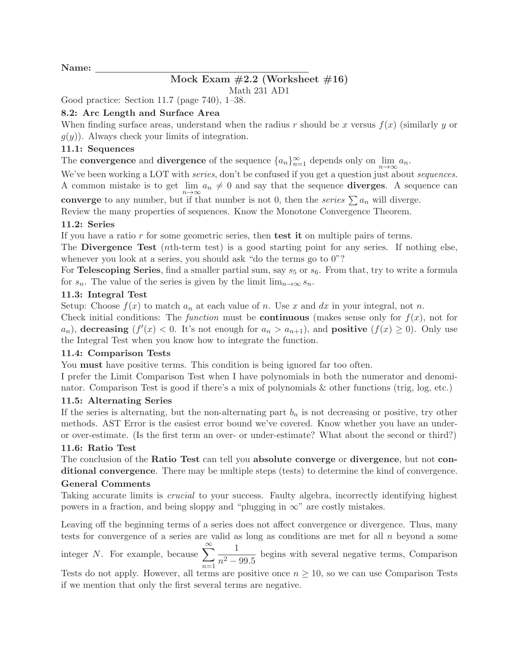Name:

# Mock Exam  $\#2.2$  (Worksheet  $\#16$ )

Math 231 AD1

Good practice: Section 11.7 (page 740), 1–38.

# 8.2: Arc Length and Surface Area

When finding surface areas, understand when the radius r should be x versus  $f(x)$  (similarly y or  $g(y)$ ). Always check your limits of integration.

#### 11.1: Sequences

The **convergence** and **divergence** of the sequence  $\{a_n\}_{n=1}^{\infty}$  depends only on  $\lim_{n\to\infty} a_n$ .

We've been working a LOT with *series*, don't be confused if you get a question just about *sequences*. A common mistake is to get  $\lim_{n\to\infty} a_n \neq 0$  and say that the sequence **diverges**. A sequence can converge to any number, but if that number is not 0, then the *series*  $\sum a_n$  will diverge.

Review the many properties of sequences. Know the Monotone Convergence Theorem.

# 11.2: Series

If you have a ratio  $r$  for some geometric series, then test it on multiple pairs of terms.

The Divergence Test (*nth*-term test) is a good starting point for any series. If nothing else, whenever you look at a series, you should ask "do the terms go to 0"?

For Telescoping Series, find a smaller partial sum, say  $s_5$  or  $s_6$ . From that, try to write a formula for  $s_n$ . The value of the series is given by the limit  $\lim_{n\to\infty} s_n$ .

# 11.3: Integral Test

Setup: Choose  $f(x)$  to match  $a_n$  at each value of n. Use x and dx in your integral, not n.

Check initial conditions: The *function* must be **continuous** (makes sense only for  $f(x)$ , not for  $a_n$ ), decreasing  $(f'(x) < 0$ . It's not enough for  $a_n > a_{n+1}$ ), and **positive**  $(f(x) \ge 0)$ . Only use the Integral Test when you know how to integrate the function.

#### 11.4: Comparison Tests

You **must** have positive terms. This condition is being ignored far too often.

I prefer the Limit Comparison Test when I have polynomials in both the numerator and denominator. Comparison Test is good if there's a mix of polynomials & other functions (trig, log, etc.)

#### 11.5: Alternating Series

If the series is alternating, but the non-alternating part  $b_n$  is not decreasing or positive, try other methods. AST Error is the easiest error bound we've covered. Know whether you have an underor over-estimate. (Is the first term an over- or under-estimate? What about the second or third?)

#### 11.6: Ratio Test

The conclusion of the Ratio Test can tell you absolute converge or divergence, but not conditional convergence. There may be multiple steps (tests) to determine the kind of convergence. General Comments

Taking accurate limits is *crucial* to your success. Faulty algebra, incorrectly identifying highest powers in a fraction, and being sloppy and "plugging in  $\infty$ " are costly mistakes.

Leaving off the beginning terms of a series does not affect convergence or divergence. Thus, many tests for convergence of a series are valid as long as conditions are met for all  $n$  beyond a some

integer N. For example, because  $\sum_{n=1}^{\infty}$  $\overline{n=1}$ 1  $\frac{1}{n^2 - 99.5}$  begins with several negative terms, Comparison

Tests do not apply. However, all terms are positive once  $n \geq 10$ , so we can use Comparison Tests if we mention that only the first several terms are negative.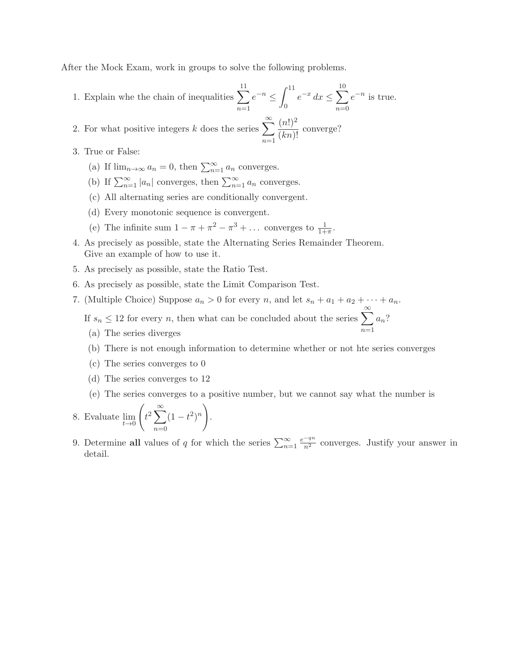After the Mock Exam, work in groups to solve the following problems.

- 1. Explain whe the chain of inequalities  $\sum$ 11  $n=1$  $e^{-n} \leq \int_{0}^{11}$ 0  $e^{-x} dx \leq \sum$ 10  $n=0$  $e^{-n}$  is true.
- 2. For what positive integers k does the series  $\sum_{n=1}^{\infty}$  $n=1$  $(n!)^2$  $\frac{\binom{n!}{(kn)!}}{(kn)!}$  converge?
- 3. True or False:
	- (a) If  $\lim_{n\to\infty} a_n = 0$ , then  $\sum_{n=1}^{\infty} a_n$  converges.
	- (b) If  $\sum_{n=1}^{\infty} |a_n|$  converges, then  $\sum_{n=1}^{\infty} a_n$  converges.
	- (c) All alternating series are conditionally convergent.
	- (d) Every monotonic sequence is convergent.
	- (e) The infinite sum  $1 \pi + \pi^2 \pi^3 + \dots$  converges to  $\frac{1}{1+\pi}$ .
- 4. As precisely as possible, state the Alternating Series Remainder Theorem. Give an example of how to use it.
- 5. As precisely as possible, state the Ratio Test.
- 6. As precisely as possible, state the Limit Comparison Test.
- 7. (Multiple Choice) Suppose  $a_n > 0$  for every n, and let  $s_n + a_1 + a_2 + \cdots + a_n$ .

If  $s_n \leq 12$  for every *n*, then what can be concluded about the series  $\sum_{n=1}^{\infty}$  $a_n$ ?

- (a) The series diverges
- (b) There is not enough information to determine whether or not hte series converges
- (c) The series converges to 0
- (d) The series converges to 12
- (e) The series converges to a positive number, but we cannot say what the number is
- 8. Evaluate  $\lim_{t\to 0}$  $\sqrt{ }$  $t^2\sum_{n=1}^\infty$  $\sum_{n=0}^{\infty} (1-t^2)^n$ .
- 9. Determine all values of q for which the series  $\sum_{n=1}^{\infty}$  $\frac{e^{-qn}}{n^2}$  converges. Justify your answer in detail.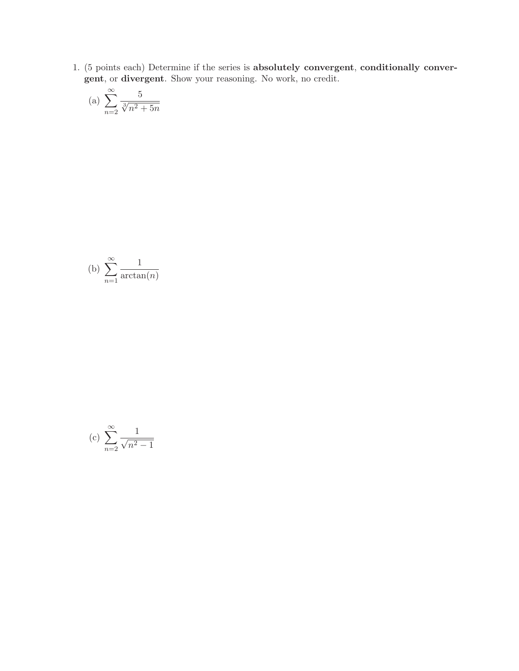1. (5 points each) Determine if the series is absolutely convergent, conditionally convergent, or divergent. Show your reasoning. No work, no credit.

(a) 
$$
\sum_{n=2}^{\infty} \frac{5}{\sqrt[3]{n^2 + 5n}}
$$

(b) 
$$
\sum_{n=1}^{\infty} \frac{1}{\arctan(n)}
$$

(c) 
$$
\sum_{n=2}^{\infty} \frac{1}{\sqrt{n^2 - 1}}
$$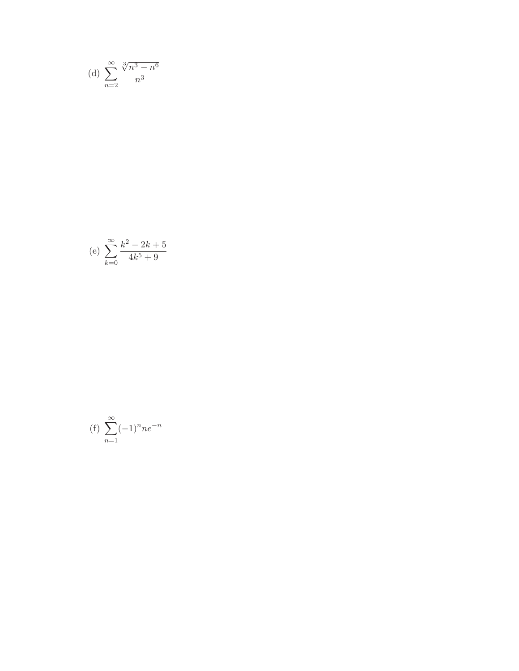(d) 
$$
\sum_{n=2}^{\infty} \frac{\sqrt[3]{n^3 - n^6}}{n^3}
$$

(e) 
$$
\sum_{k=0}^{\infty} \frac{k^2 - 2k + 5}{4k^5 + 9}
$$

$$
(f) \sum_{n=1}^{\infty} (-1)^n n e^{-n}
$$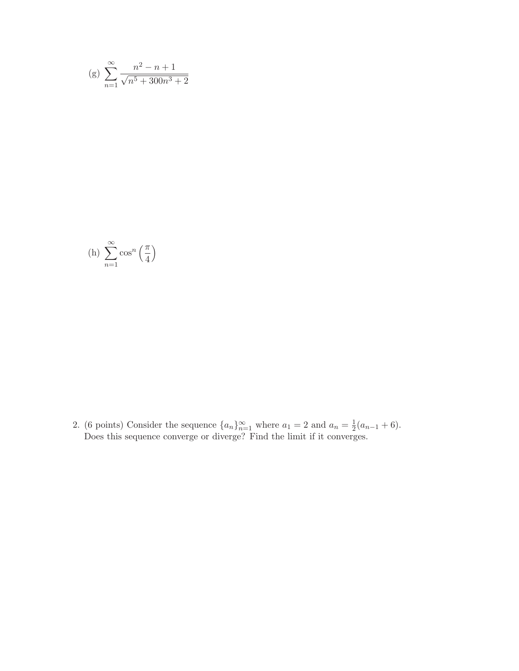(g) 
$$
\sum_{n=1}^{\infty} \frac{n^2 - n + 1}{\sqrt{n^5 + 300n^3 + 2}}
$$

(h) 
$$
\sum_{n=1}^{\infty} \cos^n \left(\frac{\pi}{4}\right)
$$

2. (6 points) Consider the sequence  $\{a_n\}_{n=1}^{\infty}$  where  $a_1 = 2$  and  $a_n = \frac{1}{2}$  $rac{1}{2}(a_{n-1}+6).$ Does this sequence converge or diverge? Find the limit if it converges.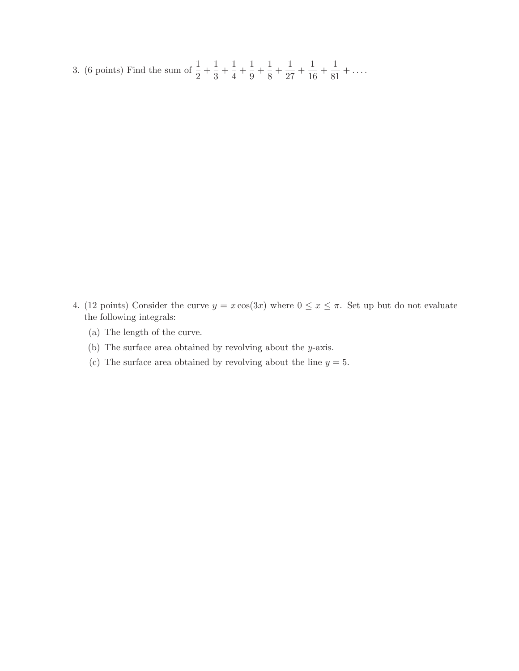3. (6 points) Find the sum of  $\frac{1}{2} + \frac{1}{3}$  $\frac{1}{3} + \frac{1}{4}$  $\frac{1}{4} + \frac{1}{9}$  $\frac{1}{9} + \frac{1}{8}$  $\frac{1}{8} + \frac{1}{27}$  $\frac{1}{27} + \frac{1}{10}$  $\frac{1}{16} + \frac{1}{81}$  $\frac{1}{81} + \ldots$ 

- 4. (12 points) Consider the curve  $y = x \cos(3x)$  where  $0 \le x \le \pi$ . Set up but do not evaluate the following integrals:
	- (a) The length of the curve.
	- (b) The surface area obtained by revolving about the y-axis.
	- (c) The surface area obtained by revolving about the line  $y = 5$ .